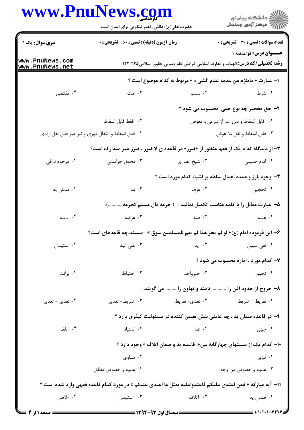## WWW PnuNews com

|                                    | www.PnuNews.com<br>حضرت علی(ع): دانش راهبر نیکویی برای ایمان است                                          |                | ڪ دانشڪاه پيا <sub>م</sub> نور<br>∕ <sup>7</sup> مرڪز آزمون وسنڊش                                               |
|------------------------------------|-----------------------------------------------------------------------------------------------------------|----------------|-----------------------------------------------------------------------------------------------------------------|
| <b>سری سوال :</b> یک ۱             | <b>زمان آزمون (دقیقه) : تستی : 60 ٪ تشریحی : 0</b>                                                        |                | <b>تعداد سوالات : تستی : 30 ٪ تشریحی : 0</b>                                                                    |
| www.PnuNews.com<br>www.PnuNews.net |                                                                                                           |                | عنــوان درس: قواعدفقه ۱<br><b>رشته تحصیلی/کد درس:</b> الهیات و معارف اسلامی گرایش فقه ومبانی حقوق اسلامی۱۲۲۰۲۲۵ |
|                                    |                                                                                                           |                | ا– عبارت « مايلزم من عدمه عدم الشي ء » مربوط به كدام موضوع است ؟                                                |
| ۰۴ مقتضى                           | ۰۳ علت                                                                                                    | ۰۲ سبب         | ۱. شرط                                                                                                          |
|                                    |                                                                                                           |                | ۲- حق تحجیر چه نوع حقی محسوب می شود ؟                                                                           |
|                                    | ٢. فقط قابل اسقاط                                                                                         |                | ٠١ قابل اسقاط و نقل اعم از تبرعي و معوض                                                                         |
|                                    | ۰۴ قابل اسقاط و انتقال قهری و نیز غیر قابل نقل ارادی                                                      |                | ٠٣ قابل اسقاط و نقل بلا عوض                                                                                     |
|                                    | <b>۳</b> - از دیدگاه کدام یک از فقها منظور از «ضرر» در قاعده ی لا ضرر ، ضرر غیر متدارک است؟               |                |                                                                                                                 |
| ۰۴ مرحوم نراقي                     | ۰۳ محقق خراسانی                                                                                           | ۰۲ شیخ انصاری  | ٠١. امام خمينى                                                                                                  |
|                                    |                                                                                                           |                | ۴- وجوه بارز و عمده اعمال سلطه بر اشیاء کدام مورد است ؟                                                         |
| ۰۴ ضمان ید                         | ۰۳ يد                                                                                                     | ۰۲ عرف         | ۱. تحجير                                                                                                        |
|                                    |                                                                                                           |                | ۵–  عبارت مقابل را با کلمه مناسب تکمیل نمائید .   ( حرمه مال مسلم کحرمه ).                                      |
| ۰۴ دينه                            | ۰۳ عرضه                                                                                                   | ۰۲ دمه         | ۰۱ عینه                                                                                                         |
|                                    | ۶– این فرموده امام (ع)« لو لم یجز هذا لم یقم للمسلمین سوق »  مستند چه قاعدهای است؟                        |                |                                                                                                                 |
| ۰۴ استیمان                         | ۰۳ علی الید                                                                                               | ۰۲ ید          | ٠١ نفى سبيل                                                                                                     |
|                                    |                                                                                                           |                | ۷- کدام مورد ، اماره محسوب می شود ؟                                                                             |
| ۰۴ برائت                           | ۰۳ احتیاط                                                                                                 | ۰۲ خبرواحد     | ۰۱ تخيير                                                                                                        |
|                                    |                                                                                                           |                | ۸– خروج از حدود اذن را  نامند و تهاون را  می گویند .                                                            |
| ۰۴ تعدي - تعدي                     | ۰۳ تفریط-تعدی                                                                                             | ۰۲ تعدي- تفريط | ۰۱ تفریط – تفریط                                                                                                |
|                                    |                                                                                                           |                | ۹- در قاعده ضمان ید ، چه عاملی نقش تعیین کننده در مسئولیت کیفری دارد ؟                                          |
| ۰۴ تلف                             | ۰۳ استیلا                                                                                                 | ۰۲ علم         | ۰۱ جهل                                                                                                          |
|                                    |                                                                                                           |                | ∙۱- کدام یک از نسبتهای چهارگانه بین« قاعده ید و ضمان اتلاف »وجود دارد ؟                                         |
|                                    | ۰۲ تساوي                                                                                                  |                | ۰۱ تباین                                                                                                        |
|                                    | ۰۴ عموم و خصوص مطلق                                                                                       |                | ۰۳ عموم و خصوص من وجه                                                                                           |
|                                    | 11- آيه مباركه « فمن اعتدى عليكم فاعتدواعليه بمثل ما اعتدى عليكم » در مورد كدام قاعده فقهي وارد شده است ؟ |                |                                                                                                                 |
| ۰۴ -لاضرر                          | ۰۳ استیمان                                                                                                | ۰۲ اتلاف       | ۰۱ ضمان ید                                                                                                      |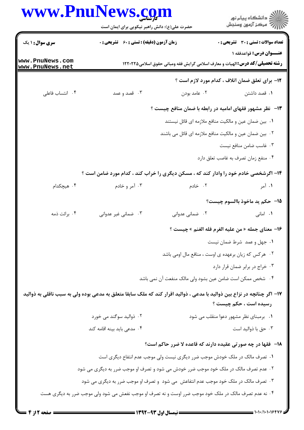## www.PnuNews.com

∣v<br>L⊻

|                                  | www.PnuNews.com<br>حضرت علی(ع): دانش راهبر نیکویی برای ایمان است                                                        |                 | ڪ دانشڪاه پيا <sub>م</sub> نور<br>۾ سرڪز آزمون وسنڊش                                                             |
|----------------------------------|-------------------------------------------------------------------------------------------------------------------------|-----------------|------------------------------------------------------------------------------------------------------------------|
| <b>سری سوال : ۱ یک</b>           | <b>زمان آزمون (دقیقه) : تستی : 60 ٪ تشریحی : 0</b>                                                                      |                 | <b>تعداد سوالات : تستی : 30 ٪ تشریحی : 0</b>                                                                     |
| ww.PnuNews.com<br>ww.PnuNews.net |                                                                                                                         |                 | عنــوان درس: قواعدفقه ۱<br><b>رشته تحصیلی/کد درس: ا</b> لهیات و معارف اسلامی گرایش فقه ومبانی حقوق اسلامی1۲۲۰۲۲۵ |
|                                  |                                                                                                                         |                 | <b>۱۲</b> - برای تعلق ضمان اتلاف ، کدام مورد لازم است ؟                                                          |
| ۰۴ انتساب فاعلى                  | ۰۳ قصد و عمد                                                                                                            | ۰۲ عامد بودن    | ۰۱ قصد داشتن                                                                                                     |
|                                  |                                                                                                                         |                 | ۱۳- لظر مشهور فقهای امامیه در رابطه با ضمان منافع چیست ؟                                                         |
|                                  |                                                                                                                         |                 | ۰۱ بین ضمان عین و مالکیت منافع ملازمه ای قائل نیستند                                                             |
|                                  |                                                                                                                         |                 | ۰۲ بین ضمان عین و مالکیت منافع ملازمه ای قائل می باشند                                                           |
|                                  |                                                                                                                         |                 | ۰۳ غاسب ضامن منافع نیست                                                                                          |
|                                  |                                                                                                                         |                 | ۰۴ منفع زمان تصرف به غاصب تعلق دارد                                                                              |
|                                  | ۱۴- اگرشخصی خادم خود را وادار کند که ، مسکن دیگری را خراب کند ، کدام مورد ضامن است ؟                                    |                 |                                                                                                                  |
| ۰۴ هیچکدام                       | ۰۳ آمر و خادم                                                                                                           | ۰۲ خادم         | ۰۱ آمر                                                                                                           |
|                                  |                                                                                                                         |                 | 1۵– حکم پد ماخوذ باالسوم چیست؟                                                                                   |
| ۰۴ برائت ذمه                     | ۰۳ ضمانی غیر عدوانی                                                                                                     | ۰۲ ضمانی عدوانی | ٠١. امانی                                                                                                        |
|                                  |                                                                                                                         |                 | 1۶− معناي جمله « من عليه الغرم فله الغنم » چيست ؟                                                                |
|                                  |                                                                                                                         |                 | ٠١ جهل و عمد شرط ضمان نيست                                                                                       |
|                                  |                                                                                                                         |                 | ۰۲ هرکس که زیان برعهده ی اوست ، منافع مال اومی باشد                                                              |
|                                  |                                                                                                                         |                 | ٠٣ خراج در برابر ضمان قرار دارد                                                                                  |
|                                  |                                                                                                                         |                 | ۰۴ شخص ممکن است ضامن عین بشود ولی مالک منفعت آن نمی باشد                                                         |
|                                  | ۱۷– اگر چنانچه در نزاع بین ذوالید با مدعی ، ذوالید اقرار کند که ملک سابقا متعلق به مدعی بوده ولی به سبب ناقلی به ذوالید |                 |                                                                                                                  |
|                                  |                                                                                                                         |                 | رسیده است ، حکم چیست ؟                                                                                           |
|                                  | ۰۲ ذوالید سوگند می خورد                                                                                                 |                 | ۰۱ برمبنای نظر مشهور دعوا منقلب می شود                                                                           |
|                                  | ۰۴ مدعی باید بینه اقامه کند                                                                                             |                 | ۰۳ حق با ذواليد است                                                                                              |
|                                  |                                                                                                                         |                 | <b>۱۸</b> - فقها در چه صورتی عقیده دارند که قاعده لا ضرر حاکم است؟                                               |
|                                  | ۰۱ تصرف مالک در ملک خودش موجب ضرر دیگری نیست ولی موجب عدم انتفاع دیگری است                                              |                 |                                                                                                                  |
|                                  | ۰۲ عدم تصرف مالک در ملک خود موجب ضرر خودش می شود و تصرف او موجب ضرر به دیگری می شود                                     |                 |                                                                                                                  |
|                                  | ۰۳ تصرف مالک در ملک خود موجب عدم انتفاعش  می شود  و تصرف او موجب ضرر به دیگری می شود                                    |                 |                                                                                                                  |
|                                  | ۰۴ نه عدم تصرف مالک در ملک خود موجب ضرر اوست و نه تصرف او موجب نفعش می شود ولی موجب ضرر به دیگری هست                    |                 |                                                                                                                  |
|                                  |                                                                                                                         |                 |                                                                                                                  |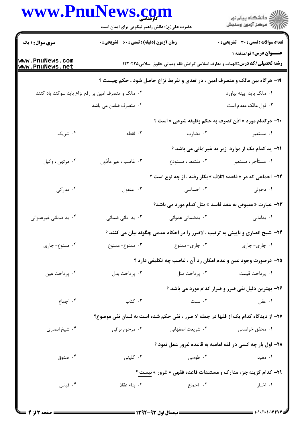## WWW PnuNaws com

| WWW.FII                            | کارشناسی<br>حضرت علی(ع): دانش راهبر نیکویی برای ایمان است |                   | ≦  دانشڪاه پيام نور<br>ج⊤ مرڪز آزمون وسنڊش                                                                              |
|------------------------------------|-----------------------------------------------------------|-------------------|-------------------------------------------------------------------------------------------------------------------------|
| <b>سری سوال : ۱ یک</b>             | زمان آزمون (دقیقه) : تستی : 60 ٪ تشریحی : 0               |                   | <b>تعداد سوالات : تستی : 30 ٪ تشریحی : 0</b>                                                                            |
| www.PnuNews.com<br>www.PnuNews.net |                                                           |                   | <b>عنـــوان درس:</b> قواعدفقه ۱<br><b>رشته تحصیلی/کد درس:</b> الهیات و معارف اسلامی گرایش فقه ومبانی حقوق اسلامی۱۲۲۰۲۲۵ |
|                                    |                                                           |                   | ۱۹- هرگاه بین مالک و متصرف امین ، در تعدی و تفریط نزاع حاصل شود ، حکم چیست ؟                                            |
|                                    | ۰۲ مالک و متصرف امین بر رفع نزاع باید سوگند یاد کنند      |                   | ٠١ مالک بايد بينه بياورد                                                                                                |
|                                    | ۰۴ متصرف ضامن می باشد                                     |                   | ۰۳ قول مالک مقدم است                                                                                                    |
|                                    |                                                           |                   | <b>-۲-</b> درکدام مورد « اذن تصرف به حکم وظیفه شرعی » است ؟                                                             |
| ۰۴ شریک                            | ۰۳ لقطه                                                   | ۰۲ مضارب          | ۰۱ مستعیر                                                                                                               |
|                                    |                                                           |                   | <b>ا۲</b> - ید کدام یک از موارد زیر ید غیرامانی می باشد ؟                                                               |
| ۰۴ مرتهن ، وكيل                    | ۰۳ غاصب ، غیر مأذون                                       | ٠٢ ملتقط ، مستودع | ۰۱ مستأجر ، مستعير                                                                                                      |
|                                    |                                                           |                   | <b>۲۲- اجماعی که در « قاعده اتلاف » بکار رفته ، از چه نوع است ؟</b>                                                     |
| ۰۴ مدرکی                           | ۰۳ منقول                                                  | ۰۲ احساسی         | ۰۱ دخولی                                                                                                                |
|                                    |                                                           |                   | <b>۲۳</b> - عبارت « مقبوض به عقد فاسد » مثل کدام مورد می باشد؟                                                          |
| ۰۴ ید ضمانی غیرعدوانی              | ۰۳ ید امانی ضمانی                                         | ۰۲ يدضماني عدواني | ۰۱ يدامانى                                                                                                              |
|                                    |                                                           |                   | ۲۴- شیخ انصاری و نایینی به ترتیب ، لاضرر را در احکام عدمی چگونه بیان می کنند ؟                                          |
| ۰۴ ممنوع- جاری                     | ۰۳ ممنوع- ممنوع                                           | ۰۲ جاری- ممنوع    | ٠١ جاري- جاري                                                                                                           |
|                                    |                                                           |                   | ۲۵- درصورت وجود عین و عدم امکان رد آن ، غاصب چه تکلیفی دارد ؟                                                           |
| ۰۴ پرداخت عين                      | ۰۳ پرداخت بدل                                             | ۰۲ پرداخت مثل     | ٠١. پرداخت قيمت                                                                                                         |
|                                    |                                                           |                   | ۲۶- بهترین دلیل نفی ضرر و ضرار کدام مورد می باشد ؟                                                                      |
| ۰۴ اجماع                           | ۰۳ کتاب                                                   | ۰۲ سنت            | ۰۱ عقل                                                                                                                  |
|                                    |                                                           |                   | 37- از دیدگاه کدام یک از فقها در جمله لا ضرر ، نفی حکم شده است به لسان نفی موضوع؟                                       |
| ۰۴ شیخ انصاری                      | ۰۳ مرحوم نراقی                                            | ۰۲ شریعت اصفهانی  | ۰۱ محقق خراسانی                                                                                                         |
|                                    |                                                           |                   | <b>۲۸- اول بار چه کسی در فقه امامیه به قاعده غرور عمل نمود</b> ؟                                                        |
| ۰۴ صدوق                            | ۰۳ کلینی                                                  | ۰۲ طوسی           | ۰۱ مفید                                                                                                                 |
|                                    |                                                           |                   | <b>۲۹</b> - کدام گزینه جزء مدارک و مستندات قاعده فقهی « غرور » نیست ؟                                                   |
| ۰۴ قياس                            | ۰۳ بناء عقلا                                              | ٢. اجماع          | ٠١ اخبار                                                                                                                |
|                                    |                                                           |                   |                                                                                                                         |

 $-0.001$